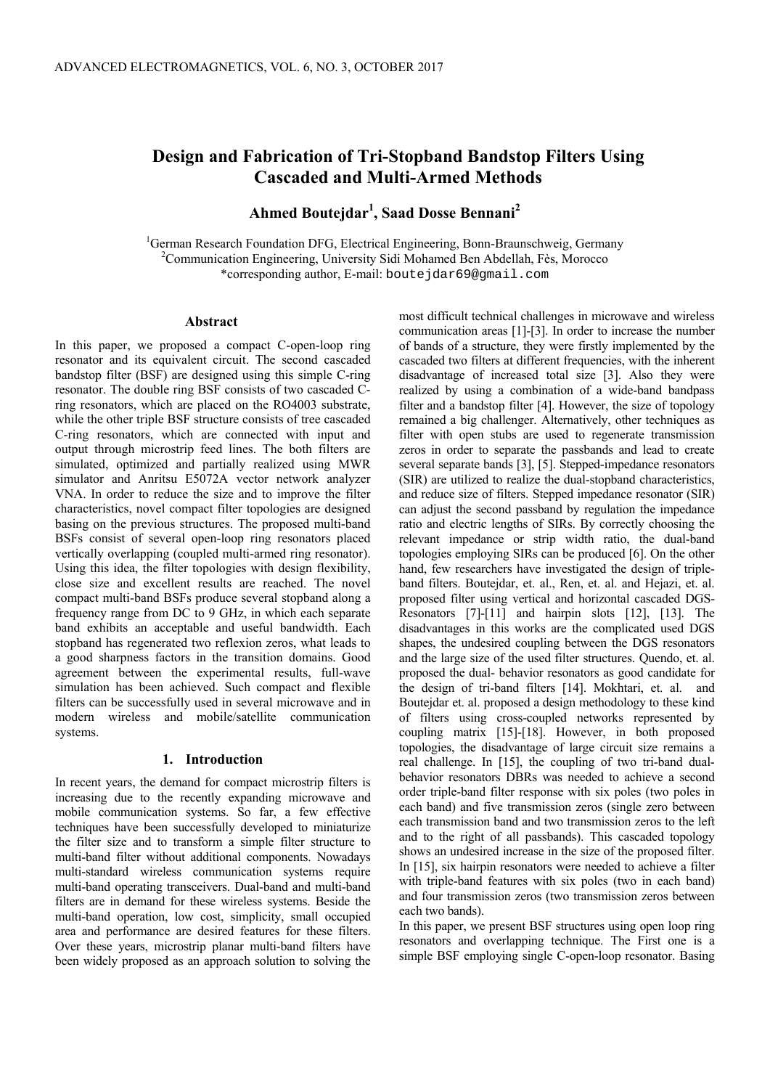# **Design and Fabrication of Tri-Stopband Bandstop Filters Using Cascaded and Multi-Armed Methods**

**Ahmed Boutejdar<sup>1</sup> , Saad Dosse Bennani<sup>2</sup>**

<sup>1</sup>German Research Foundation DFG, Electrical Engineering, Bonn-Braunschweig, Germany  $^{2}$ Communication Engineering, University Sidi Mohamed Ben Abdellah, Fès, Morocco \*corresponding author, E-mail: boutejdar69@gmail.com

#### **Abstract**

In this paper, we proposed a compact C-open-loop ring resonator and its equivalent circuit. The second cascaded bandstop filter (BSF) are designed using this simple C-ring resonator. The double ring BSF consists of two cascaded Cring resonators, which are placed on the RO4003 substrate, while the other triple BSF structure consists of tree cascaded C-ring resonators, which are connected with input and output through microstrip feed lines. The both filters are simulated, optimized and partially realized using MWR simulator and Anritsu E5072A vector network analyzer VNA. In order to reduce the size and to improve the filter characteristics, novel compact filter topologies are designed basing on the previous structures. The proposed multi-band BSFs consist of several open-loop ring resonators placed vertically overlapping (coupled multi-armed ring resonator). Using this idea, the filter topologies with design flexibility, close size and excellent results are reached. The novel compact multi-band BSFs produce several stopband along a frequency range from DC to 9 GHz, in which each separate band exhibits an acceptable and useful bandwidth. Each stopband has regenerated two reflexion zeros, what leads to a good sharpness factors in the transition domains. Good agreement between the experimental results, full-wave simulation has been achieved. Such compact and flexible filters can be successfully used in several microwave and in modern wireless and mobile/satellite communication systems.

## **1. Introduction**

In recent years, the demand for compact microstrip filters is increasing due to the recently expanding microwave and mobile communication systems. So far, a few effective techniques have been successfully developed to miniaturize the filter size and to transform a simple filter structure to multi-band filter without additional components. Nowadays multi-standard wireless communication systems require multi-band operating transceivers. Dual-band and multi-band filters are in demand for these wireless systems. Beside the multi-band operation, low cost, simplicity, small occupied area and performance are desired features for these filters. Over these years, microstrip planar multi-band filters have been widely proposed as an approach solution to solving the most difficult technical challenges in microwave and wireless communication areas [1]-[3]. In order to increase the number of bands of a structure, they were firstly implemented by the cascaded two filters at different frequencies, with the inherent disadvantage of increased total size [3]. Also they were realized by using a combination of a wide-band bandpass filter and a bandstop filter [4]. However, the size of topology remained a big challenger. Alternatively, other techniques as filter with open stubs are used to regenerate transmission zeros in order to separate the passbands and lead to create several separate bands [3], [5]. Stepped-impedance resonators (SIR) are utilized to realize the dual-stopband characteristics, and reduce size of filters. Stepped impedance resonator (SIR) can adjust the second passband by regulation the impedance ratio and electric lengths of SIRs. By correctly choosing the relevant impedance or strip width ratio, the dual-band topologies employing SIRs can be produced [6]. On the other hand, few researchers have investigated the design of tripleband filters. Boutejdar, et. al., Ren, et. al. and Hejazi, et. al. proposed filter using vertical and horizontal cascaded DGS-Resonators [7]-[11] and hairpin slots [12], [13]. The disadvantages in this works are the complicated used DGS shapes, the undesired coupling between the DGS resonators and the large size of the used filter structures. Quendo, et. al. proposed the dual- behavior resonators as good candidate for the design of tri-band filters [14]. Mokhtari, et. al. and Boutejdar et. al. proposed a design methodology to these kind of filters using cross-coupled networks represented by coupling matrix [15]-[18]. However, in both proposed topologies, the disadvantage of large circuit size remains a real challenge. In [15], the coupling of two tri-band dualbehavior resonators DBRs was needed to achieve a second order triple-band filter response with six poles (two poles in each band) and five transmission zeros (single zero between each transmission band and two transmission zeros to the left and to the right of all passbands). This cascaded topology shows an undesired increase in the size of the proposed filter. In [15], six hairpin resonators were needed to achieve a filter with triple-band features with six poles (two in each band) and four transmission zeros (two transmission zeros between each two bands).

In this paper, we present BSF structures using open loop ring resonators and overlapping technique. The First one is a simple BSF employing single C-open-loop resonator. Basing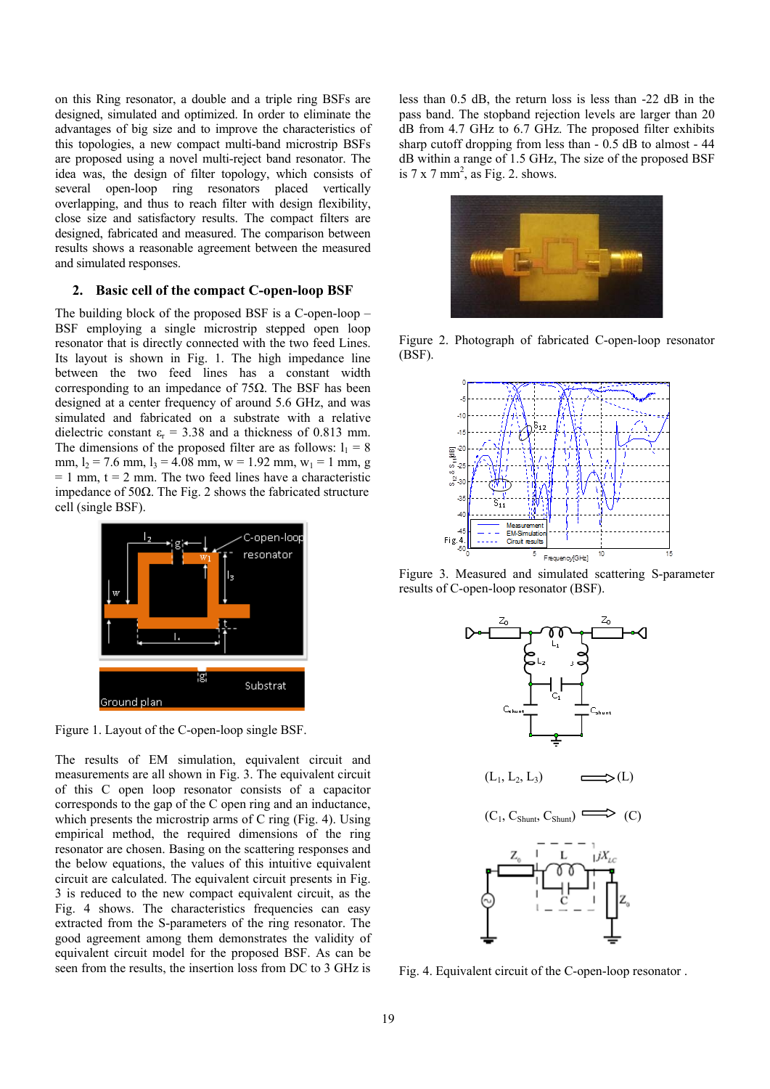on this Ring resonator, a double and a triple ring BSFs are designed, simulated and optimized. In order to eliminate the advantages of big size and to improve the characteristics of this topologies, a new compact multi-band microstrip BSFs are proposed using a novel multi-reject band resonator. The idea was, the design of filter topology, which consists of several open-loop ring resonators placed vertically overlapping, and thus to reach filter with design flexibility, close size and satisfactory results. The compact filters are designed, fabricated and measured. The comparison between results shows a reasonable agreement between the measured and simulated responses.

## **2. Basic cell of the compact C-open-loop BSF**

The building block of the proposed BSF is a C-open-loop – BSF employing a single microstrip stepped open loop resonator that is directly connected with the two feed Lines. Its layout is shown in Fig. 1. The high impedance line between the two feed lines has a constant width corresponding to an impedance of  $75\Omega$ . The BSF has been designed at a center frequency of around 5.6 GHz, and was simulated and fabricated on a substrate with a relative dielectric constant  $\varepsilon_r = 3.38$  and a thickness of 0.813 mm. The dimensions of the proposed filter are as follows:  $l_1 = 8$ mm,  $l_2$  = 7.6 mm,  $l_3$  = 4.08 mm, w = 1.92 mm, w<sub>1</sub> = 1 mm, g  $= 1$  mm,  $t = 2$  mm. The two feed lines have a characteristic impedance of 50Ω. The Fig. 2 shows the fabricated structure cell (single BSF).



Figure 1. Layout of the C-open-loop single BSF.

The results of EM simulation, equivalent circuit and measurements are all shown in Fig. 3. The equivalent circuit of this C open loop resonator consists of a capacitor corresponds to the gap of the C open ring and an inductance, which presents the microstrip arms of C ring (Fig. 4). Using empirical method, the required dimensions of the ring resonator are chosen. Basing on the scattering responses and the below equations, the values of this intuitive equivalent circuit are calculated. The equivalent circuit presents in Fig. 3 is reduced to the new compact equivalent circuit, as the Fig. 4 shows. The characteristics frequencies can easy extracted from the S-parameters of the ring resonator. The good agreement among them demonstrates the validity of equivalent circuit model for the proposed BSF. As can be seen from the results, the insertion loss from DC to 3 GHz is less than 0.5 dB, the return loss is less than -22 dB in the pass band. The stopband rejection levels are larger than 20 dB from 4.7 GHz to 6.7 GHz. The proposed filter exhibits sharp cutoff dropping from less than - 0.5 dB to almost - 44 dB within a range of 1.5 GHz, The size of the proposed BSF is  $7 \times 7$  mm<sup>2</sup>, as Fig. 2. shows.



Figure 2. Photograph of fabricated C-open-loop resonator (BSF).



Figure 3. Measured and simulated scattering S-parameter results of C-open-loop resonator (BSF).



Fig. 4. Equivalent circuit of the C-open-loop resonator .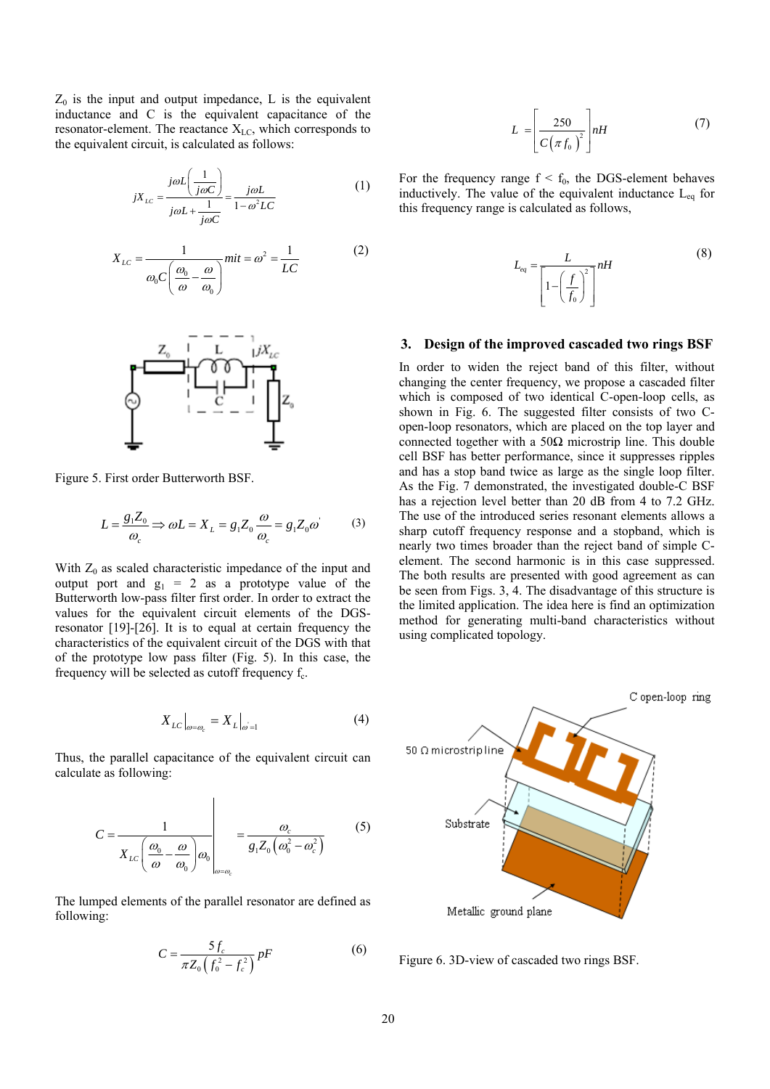$Z_0$  is the input and output impedance, L is the equivalent inductance and C is the equivalent capacitance of the resonator-element. The reactance  $X_{LC}$ , which corresponds to the equivalent circuit, is calculated as follows:

$$
jX_{LC} = \frac{j\omega L \left(\frac{1}{j\omega C}\right)}{j\omega L + \frac{1}{j\omega C}} = \frac{j\omega L}{1 - \omega^2 LC}
$$
(1)

$$
X_{LC} = \frac{1}{\omega_0 C \left(\frac{\omega_0}{\omega} - \frac{\omega}{\omega_0}\right)} m i t = \omega^2 = \frac{1}{LC}
$$
 (2)



Figure 5. First order Butterworth BSF.

$$
L = \frac{g_1 Z_0}{\omega_c} \Rightarrow \omega L = X_L = g_1 Z_0 \frac{\omega}{\omega_c} = g_1 Z_0 \omega' \tag{3}
$$

With  $Z_0$  as scaled characteristic impedance of the input and output port and  $g_1 = 2$  as a prototype value of the Butterworth low-pass filter first order. In order to extract the values for the equivalent circuit elements of the DGSresonator [19]-[26]. It is to equal at certain frequency the characteristics of the equivalent circuit of the DGS with that of the prototype low pass filter (Fig. 5). In this case, the frequency will be selected as cutoff frequency  $f_c$ .

$$
X_{LC}\big|_{\omega=\omega_c} = X_L\big|_{\omega=1} \tag{4}
$$

Thus, the parallel capacitance of the equivalent circuit can calculate as following:

$$
C = \frac{1}{X_{LC} \left(\frac{\omega_0}{\omega} - \frac{\omega}{\omega_0}\right) \omega_0} \bigg|_{\omega = \omega_c} = \frac{\omega_c}{g_1 Z_0 \left(\omega_0^2 - \omega_c^2\right)} \tag{5}
$$

The lumped elements of the parallel resonator are defined as following:

$$
C = \frac{5f_c}{\pi Z_0 \left(f_0^2 - f_c^2\right)} pF
$$
 (6)

$$
L = \left[\frac{250}{C\left(\pi f_0\right)^2}\right] nH \tag{7}
$$

For the frequency range  $f < f_0$ , the DGS-element behaves inductively. The value of the equivalent inductance  $L_{eq}$  for this frequency range is calculated as follows,

$$
L_{eq} = \frac{L}{\left[1 - \left(\frac{f}{f_0}\right)^2\right]} nH
$$
\n(8)

#### **3. Design of the improved cascaded two rings BSF**

In order to widen the reject band of this filter, without changing the center frequency, we propose a cascaded filter which is composed of two identical C-open-loop cells, as shown in Fig. 6. The suggested filter consists of two Copen-loop resonators, which are placed on the top layer and connected together with a 50Ω microstrip line. This double cell BSF has better performance, since it suppresses ripples and has a stop band twice as large as the single loop filter. As the Fig. 7 demonstrated, the investigated double-C BSF has a rejection level better than 20 dB from 4 to 7.2 GHz. The use of the introduced series resonant elements allows a sharp cutoff frequency response and a stopband, which is nearly two times broader than the reject band of simple Celement. The second harmonic is in this case suppressed. The both results are presented with good agreement as can be seen from Figs. 3, 4. The disadvantage of this structure is the limited application. The idea here is find an optimization method for generating multi-band characteristics without using complicated topology.



Figure 6. 3D-view of cascaded two rings BSF.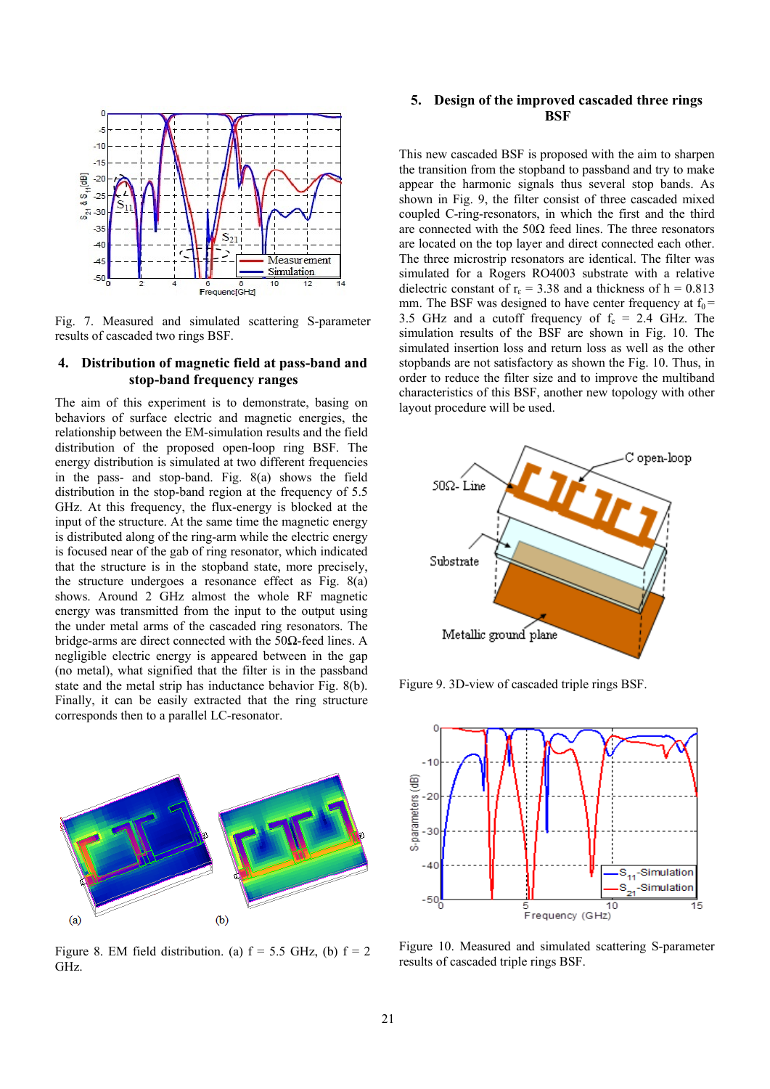

Fig. 7. Measured and simulated scattering S-parameter results of cascaded two rings BSF.

## **4. Distribution of magnetic field at pass-band and stop-band frequency ranges**

The aim of this experiment is to demonstrate, basing on behaviors of surface electric and magnetic energies, the relationship between the EM-simulation results and the field distribution of the proposed open-loop ring BSF. The energy distribution is simulated at two different frequencies in the pass- and stop-band. Fig. 8(a) shows the field distribution in the stop-band region at the frequency of 5.5 GHz. At this frequency, the flux-energy is blocked at the input of the structure. At the same time the magnetic energy is distributed along of the ring-arm while the electric energy is focused near of the gab of ring resonator, which indicated that the structure is in the stopband state, more precisely, the structure undergoes a resonance effect as Fig. 8(a) shows. Around 2 GHz almost the whole RF magnetic energy was transmitted from the input to the output using the under metal arms of the cascaded ring resonators. The bridge-arms are direct connected with the 50Ω-feed lines. A negligible electric energy is appeared between in the gap (no metal), what signified that the filter is in the passband state and the metal strip has inductance behavior Fig. 8(b). Finally, it can be easily extracted that the ring structure corresponds then to a parallel LC-resonator.



Figure 8. EM field distribution. (a)  $f = 5.5$  GHz, (b)  $f = 2$ GHz.

## **5. Design of the improved cascaded three rings BSF**

This new cascaded BSF is proposed with the aim to sharpen the transition from the stopband to passband and try to make appear the harmonic signals thus several stop bands. As shown in Fig. 9, the filter consist of three cascaded mixed coupled C-ring-resonators, in which the first and the third are connected with the  $50\Omega$  feed lines. The three resonators are located on the top layer and direct connected each other. The three microstrip resonators are identical. The filter was simulated for a Rogers RO4003 substrate with a relative dielectric constant of  $r_{\epsilon}$  = 3.38 and a thickness of h = 0.813 mm. The BSF was designed to have center frequency at  $f_0$  = 3.5 GHz and a cutoff frequency of  $f_c = 2.4$  GHz. The simulation results of the BSF are shown in Fig. 10. The simulated insertion loss and return loss as well as the other stopbands are not satisfactory as shown the Fig. 10. Thus, in order to reduce the filter size and to improve the multiband characteristics of this BSF, another new topology with other layout procedure will be used.



Figure 9. 3D-view of cascaded triple rings BSF.



Figure 10. Measured and simulated scattering S-parameter results of cascaded triple rings BSF.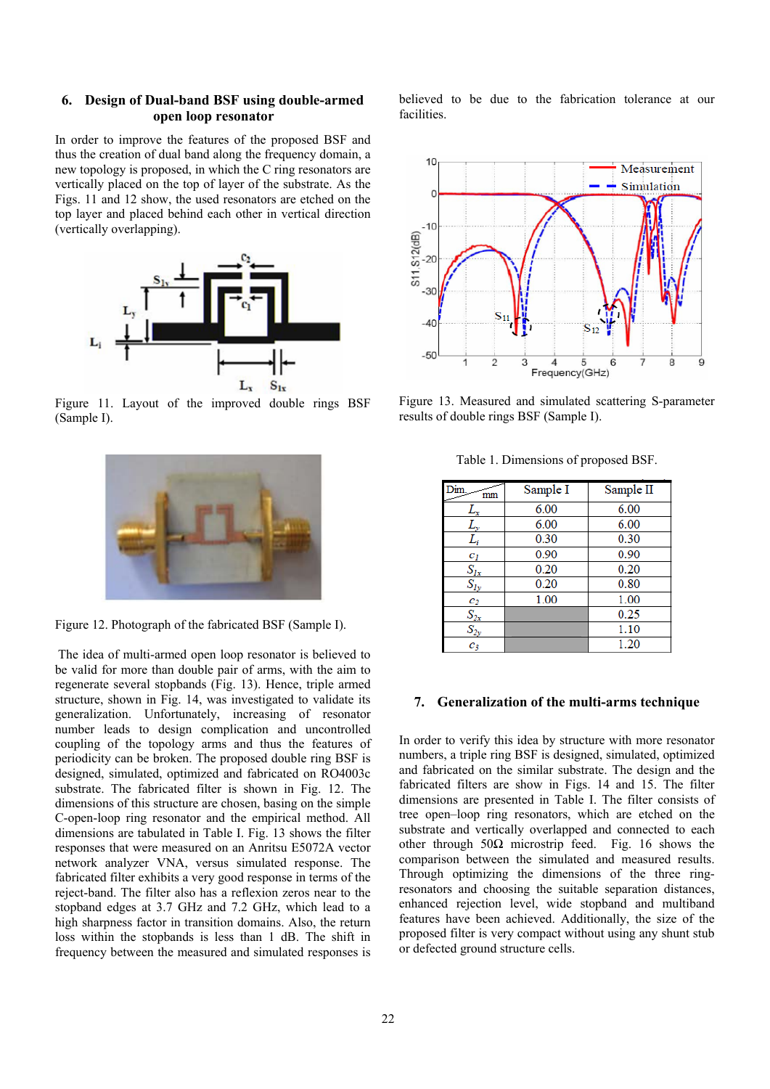## **6. Design of Dual-band BSF using double-armed open loop resonator**

In order to improve the features of the proposed BSF and thus the creation of dual band along the frequency domain, a new topology is proposed, in which the C ring resonators are vertically placed on the top of layer of the substrate. As the Figs. 11 and 12 show, the used resonators are etched on the top layer and placed behind each other in vertical direction (vertically overlapping).



Figure 11. Layout of the improved double rings BSF (Sample I).



Figure 12. Photograph of the fabricated BSF (Sample I).

 The idea of multi-armed open loop resonator is believed to be valid for more than double pair of arms, with the aim to regenerate several stopbands (Fig. 13). Hence, triple armed structure, shown in Fig. 14, was investigated to validate its generalization. Unfortunately, increasing of resonator number leads to design complication and uncontrolled coupling of the topology arms and thus the features of periodicity can be broken. The proposed double ring BSF is designed, simulated, optimized and fabricated on RO4003c substrate. The fabricated filter is shown in Fig. 12. The dimensions of this structure are chosen, basing on the simple C-open-loop ring resonator and the empirical method. All dimensions are tabulated in Table I. Fig. 13 shows the filter responses that were measured on an Anritsu E5072A vector network analyzer VNA, versus simulated response. The fabricated filter exhibits a very good response in terms of the reject-band. The filter also has a reflexion zeros near to the stopband edges at 3.7 GHz and 7.2 GHz, which lead to a high sharpness factor in transition domains. Also, the return loss within the stopbands is less than 1 dB. The shift in frequency between the measured and simulated responses is

believed to be due to the fabrication tolerance at our facilities.



Figure 13. Measured and simulated scattering S-parameter results of double rings BSF (Sample I).

| Sample I | Sample II |
|----------|-----------|
| 6.00     | 6.00      |
| 6.00     | 6.00      |
| 0.30     | 0.30      |
| 0.90     | 0.90      |
| 0.20     | 0.20      |
| 0.20     | 0.80      |
| 1.00     | 1.00      |
|          | 0.25      |
|          | 1.10      |
|          | 1.20      |
|          |           |

Table 1. Dimensions of proposed BSF.

## **7. Generalization of the multi-arms technique**

In order to verify this idea by structure with more resonator numbers, a triple ring BSF is designed, simulated, optimized and fabricated on the similar substrate. The design and the fabricated filters are show in Figs. 14 and 15. The filter dimensions are presented in Table I. The filter consists of tree open–loop ring resonators, which are etched on the substrate and vertically overlapped and connected to each other through  $50\Omega$  microstrip feed. Fig. 16 shows the comparison between the simulated and measured results. Through optimizing the dimensions of the three ringresonators and choosing the suitable separation distances, enhanced rejection level, wide stopband and multiband features have been achieved. Additionally, the size of the proposed filter is very compact without using any shunt stub or defected ground structure cells.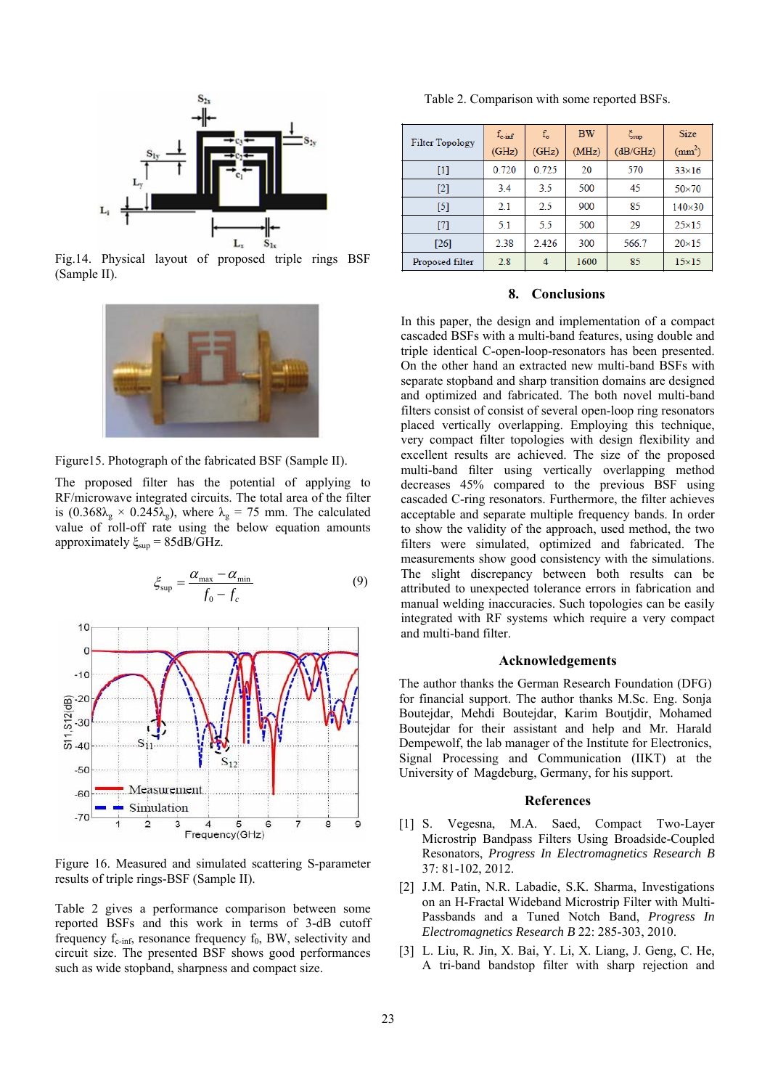

Fig.14. Physical layout of proposed triple rings BSF (Sample II).



Figure15. Photograph of the fabricated BSF (Sample II).

The proposed filter has the potential of applying to RF/microwave integrated circuits. The total area of the filter is  $(0.368\lambda_{\rm g} \times 0.245\lambda_{\rm g})$ , where  $\lambda_{\rm g} = 75$  mm. The calculated value of roll-off rate using the below equation amounts approximately  $\xi_{\text{sup}} = 85$ dB/GHz.



Figure 16. Measured and simulated scattering S-parameter results of triple rings-BSF (Sample II).

Table 2 gives a performance comparison between some reported BSFs and this work in terms of 3-dB cutoff frequency  $f_{c\text{-inf}}$ , resonance frequency  $f_0$ , BW, selectivity and circuit size. The presented BSF shows good performances such as wide stopband, sharpness and compact size.

Table 2. Comparison with some reported BSFs.

| <b>Filter Topology</b> | $f_{c\text{-inf}}$<br>(GHz) | $f_{o}$<br>(GHz) | <b>BW</b><br>(MHz) | $\xi_{\sup}$<br>(dB/GHz) | <b>Size</b><br>$\text{(mm}^2)$ |
|------------------------|-----------------------------|------------------|--------------------|--------------------------|--------------------------------|
| $[1]$                  | 0.720                       | 0.725            | 20                 | 570                      | $33\times16$                   |
| [2]                    | 3.4                         | 3.5              | 500                | 45                       | $50\times70$                   |
| [5]                    | 2.1                         | 2.5              | 900                | 85                       | $140 \times 30$                |
| $[7]$                  | 5.1                         | 5.5              | 500                | 29                       | $25\times15$                   |
| $[26]$                 | 2.38                        | 2.426            | 300                | 566.7                    | $20\times15$                   |
| Proposed filter        | 2.8                         | 4                | 1600               | 85                       | $15\times15$                   |

#### **8. Conclusions**

In this paper, the design and implementation of a compact cascaded BSFs with a multi-band features, using double and triple identical C-open-loop-resonators has been presented. On the other hand an extracted new multi-band BSFs with separate stopband and sharp transition domains are designed and optimized and fabricated. The both novel multi-band filters consist of consist of several open-loop ring resonators placed vertically overlapping. Employing this technique, very compact filter topologies with design flexibility and excellent results are achieved. The size of the proposed multi-band filter using vertically overlapping method decreases 45% compared to the previous BSF using cascaded C-ring resonators. Furthermore, the filter achieves acceptable and separate multiple frequency bands. In order to show the validity of the approach, used method, the two filters were simulated, optimized and fabricated. The measurements show good consistency with the simulations. The slight discrepancy between both results can be attributed to unexpected tolerance errors in fabrication and manual welding inaccuracies. Such topologies can be easily integrated with RF systems which require a very compact and multi-band filter.

#### **Acknowledgements**

The author thanks the German Research Foundation (DFG) for financial support. The author thanks M.Sc. Eng. Sonja Boutejdar, Mehdi Boutejdar, Karim Boutjdir, Mohamed Boutejdar for their assistant and help and Mr. Harald Dempewolf, the lab manager of the Institute for Electronics, Signal Processing and Communication (IIKT) at the University of Magdeburg, Germany, for his support.

#### **References**

- [1] S. Vegesna, M.A. Saed, Compact Two-Layer Microstrip Bandpass Filters Using Broadside-Coupled Resonators, *Progress In Electromagnetics Research B* 37: 81-102, 2012.
- [2] J.M. Patin, N.R. Labadie, S.K. Sharma, Investigations on an H-Fractal Wideband Microstrip Filter with Multi-Passbands and a Tuned Notch Band, *Progress In Electromagnetics Research B* 22: 285-303, 2010.
- [3] L. Liu, R. Jin, X. Bai, Y. Li, X. Liang, J. Geng, C. He, A tri-band bandstop filter with sharp rejection and